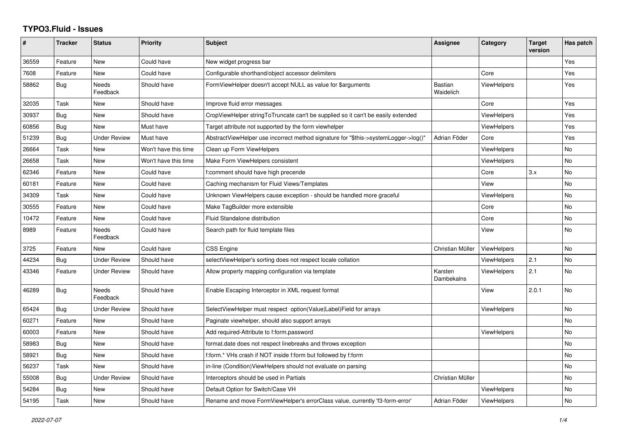## **TYPO3.Fluid - Issues**

| #     | <b>Tracker</b> | <b>Status</b>            | Priority             | Subject                                                                             | Assignee                    | Category           | <b>Target</b><br>version | Has patch      |
|-------|----------------|--------------------------|----------------------|-------------------------------------------------------------------------------------|-----------------------------|--------------------|--------------------------|----------------|
| 36559 | Feature        | <b>New</b>               | Could have           | New widget progress bar                                                             |                             |                    |                          | Yes            |
| 7608  | Feature        | <b>New</b>               | Could have           | Configurable shorthand/object accessor delimiters                                   |                             | Core               |                          | Yes            |
| 58862 | Bug            | Needs<br>Feedback        | Should have          | FormViewHelper doesn't accept NULL as value for \$arguments                         | <b>Bastian</b><br>Waidelich | <b>ViewHelpers</b> |                          | Yes            |
| 32035 | Task           | New                      | Should have          | Improve fluid error messages                                                        |                             | Core               |                          | Yes            |
| 30937 | <b>Bug</b>     | New                      | Should have          | CropViewHelper stringToTruncate can't be supplied so it can't be easily extended    |                             | <b>ViewHelpers</b> |                          | Yes            |
| 60856 | Bug            | New                      | Must have            | Target attribute not supported by the form viewhelper                               |                             | ViewHelpers        |                          | Yes            |
| 51239 | <b>Bug</b>     | <b>Under Review</b>      | Must have            | AbstractViewHelper use incorrect method signature for "\$this->systemLogger->log()" | Adrian Föder                | Core               |                          | Yes            |
| 26664 | Task           | New                      | Won't have this time | Clean up Form ViewHelpers                                                           |                             | <b>ViewHelpers</b> |                          | No             |
| 26658 | Task           | New                      | Won't have this time | Make Form ViewHelpers consistent                                                    |                             | <b>ViewHelpers</b> |                          | No             |
| 62346 | Feature        | New                      | Could have           | f:comment should have high precende                                                 |                             | Core               | 3.x                      | No             |
| 60181 | Feature        | New                      | Could have           | Caching mechanism for Fluid Views/Templates                                         |                             | View               |                          | N <sub>o</sub> |
| 34309 | Task           | New                      | Could have           | Unknown ViewHelpers cause exception - should be handled more graceful               |                             | ViewHelpers        |                          | No             |
| 30555 | Feature        | <b>New</b>               | Could have           | Make TagBuilder more extensible                                                     |                             | Core               |                          | No             |
| 10472 | Feature        | New                      | Could have           | Fluid Standalone distribution                                                       |                             | Core               |                          | No             |
| 8989  | Feature        | Needs<br>Feedback        | Could have           | Search path for fluid template files                                                |                             | View               |                          | No             |
| 3725  | Feature        | <b>New</b>               | Could have           | <b>CSS Engine</b>                                                                   | Christian Müller            | <b>ViewHelpers</b> |                          | No             |
| 44234 | Bug            | <b>Under Review</b>      | Should have          | selectViewHelper's sorting does not respect locale collation                        |                             | <b>ViewHelpers</b> | 2.1                      | No             |
| 43346 | Feature        | <b>Under Review</b>      | Should have          | Allow property mapping configuration via template                                   | Karsten<br>Dambekalns       | <b>ViewHelpers</b> | 2.1                      | No             |
| 46289 | <b>Bug</b>     | <b>Needs</b><br>Feedback | Should have          | Enable Escaping Interceptor in XML request format                                   |                             | View               | 2.0.1                    | No.            |
| 65424 | Bug            | <b>Under Review</b>      | Should have          | SelectViewHelper must respect option(Value Label)Field for arrays                   |                             | <b>ViewHelpers</b> |                          | No             |
| 60271 | Feature        | New                      | Should have          | Paginate viewhelper, should also support arrays                                     |                             |                    |                          | No             |
| 60003 | Feature        | New                      | Should have          | Add required-Attribute to f:form.password                                           |                             | <b>ViewHelpers</b> |                          | No             |
| 58983 | Bug            | New                      | Should have          | format.date does not respect linebreaks and throws exception                        |                             |                    |                          | No             |
| 58921 | Bug            | New                      | Should have          | f:form.* VHs crash if NOT inside f:form but followed by f:form                      |                             |                    |                          | No             |
| 56237 | Task           | <b>New</b>               | Should have          | in-line (Condition) View Helpers should not evaluate on parsing                     |                             |                    |                          | No             |
| 55008 | <b>Bug</b>     | Under Review             | Should have          | Interceptors should be used in Partials                                             | Christian Müller            |                    |                          | No.            |
| 54284 | Bug            | New                      | Should have          | Default Option for Switch/Case VH                                                   |                             | <b>ViewHelpers</b> |                          | No             |
| 54195 | Task           | <b>New</b>               | Should have          | Rename and move FormViewHelper's errorClass value, currently 'f3-form-error'        | Adrian Föder                | <b>ViewHelpers</b> |                          | No.            |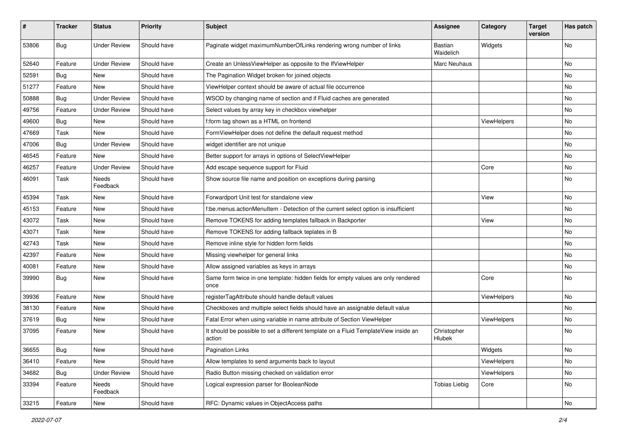| #     | <b>Tracker</b> | <b>Status</b>       | <b>Priority</b> | Subject                                                                                       | <b>Assignee</b>       | Category    | <b>Target</b><br>version | Has patch |
|-------|----------------|---------------------|-----------------|-----------------------------------------------------------------------------------------------|-----------------------|-------------|--------------------------|-----------|
| 53806 | Bug            | <b>Under Review</b> | Should have     | Paginate widget maximumNumberOfLinks rendering wrong number of links                          | Bastian<br>Waidelich  | Widgets     |                          | <b>No</b> |
| 52640 | Feature        | <b>Under Review</b> | Should have     | Create an UnlessViewHelper as opposite to the IfViewHelper                                    | Marc Neuhaus          |             |                          | No        |
| 52591 | Bug            | New                 | Should have     | The Pagination Widget broken for joined objects                                               |                       |             |                          | No        |
| 51277 | Feature        | New                 | Should have     | ViewHelper context should be aware of actual file occurrence                                  |                       |             |                          | No        |
| 50888 | Bug            | <b>Under Review</b> | Should have     | WSOD by changing name of section and if Fluid caches are generated                            |                       |             |                          | <b>No</b> |
| 49756 | Feature        | <b>Under Review</b> | Should have     | Select values by array key in checkbox viewhelper                                             |                       |             |                          | No        |
| 49600 | Bug            | New                 | Should have     | f:form tag shown as a HTML on frontend                                                        |                       | ViewHelpers |                          | No        |
| 47669 | Task           | New                 | Should have     | FormViewHelper does not define the default request method                                     |                       |             |                          | No        |
| 47006 | Bug            | <b>Under Review</b> | Should have     | widget identifier are not unique                                                              |                       |             |                          | No        |
| 46545 | Feature        | <b>New</b>          | Should have     | Better support for arrays in options of SelectViewHelper                                      |                       |             |                          | <b>No</b> |
| 46257 | Feature        | <b>Under Review</b> | Should have     | Add escape sequence support for Fluid                                                         |                       | Core        |                          | No        |
| 46091 | Task           | Needs<br>Feedback   | Should have     | Show source file name and position on exceptions during parsing                               |                       |             |                          | No        |
| 45394 | Task           | New                 | Should have     | Forwardport Unit test for standalone view                                                     |                       | View        |                          | No        |
| 45153 | Feature        | New                 | Should have     | f:be.menus.actionMenuItem - Detection of the current select option is insufficient            |                       |             |                          | No        |
| 43072 | Task           | New                 | Should have     | Remove TOKENS for adding templates fallback in Backporter                                     |                       | View        |                          | <b>No</b> |
| 43071 | Task           | New                 | Should have     | Remove TOKENS for adding fallback teplates in B                                               |                       |             |                          | No        |
| 42743 | Task           | New                 | Should have     | Remove inline style for hidden form fields                                                    |                       |             |                          | <b>No</b> |
| 42397 | Feature        | New                 | Should have     | Missing viewhelper for general links                                                          |                       |             |                          | No        |
| 40081 | Feature        | New                 | Should have     | Allow assigned variables as keys in arrays                                                    |                       |             |                          | No        |
| 39990 | Bug            | New                 | Should have     | Same form twice in one template: hidden fields for empty values are only rendered<br>once     |                       | Core        |                          | No        |
| 39936 | Feature        | New                 | Should have     | registerTagAttribute should handle default values                                             |                       | ViewHelpers |                          | No        |
| 38130 | Feature        | New                 | Should have     | Checkboxes and multiple select fields should have an assignable default value                 |                       |             |                          | No        |
| 37619 | Bug            | New                 | Should have     | Fatal Error when using variable in name attribute of Section ViewHelper                       |                       | ViewHelpers |                          | No        |
| 37095 | Feature        | New                 | Should have     | It should be possible to set a different template on a Fluid TemplateView inside an<br>action | Christopher<br>Hlubek |             |                          | No        |
| 36655 | <b>Bug</b>     | New                 | Should have     | <b>Pagination Links</b>                                                                       |                       | Widgets     |                          | N0        |
| 36410 | Feature        | New                 | Should have     | Allow templates to send arguments back to layout                                              |                       | ViewHelpers |                          | No        |
| 34682 | <b>Bug</b>     | <b>Under Review</b> | Should have     | Radio Button missing checked on validation error                                              |                       | ViewHelpers |                          | No        |
| 33394 | Feature        | Needs<br>Feedback   | Should have     | Logical expression parser for BooleanNode                                                     | <b>Tobias Liebig</b>  | Core        |                          | No        |
| 33215 | Feature        | New                 | Should have     | RFC: Dynamic values in ObjectAccess paths                                                     |                       |             |                          | No        |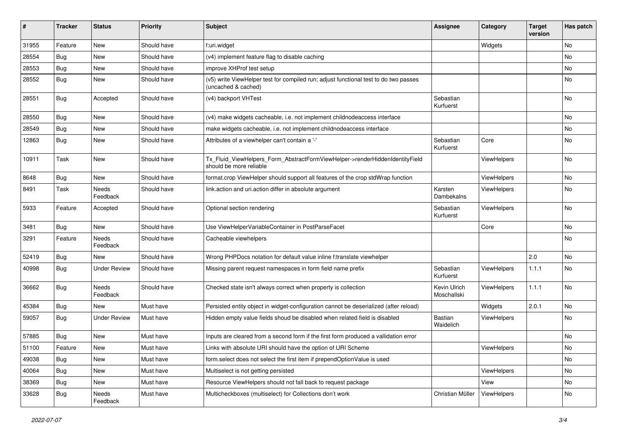| #     | <b>Tracker</b> | <b>Status</b>            | Priority    | Subject                                                                                                     | <b>Assignee</b>             | Category    | <b>Target</b><br>version | Has patch     |
|-------|----------------|--------------------------|-------------|-------------------------------------------------------------------------------------------------------------|-----------------------------|-------------|--------------------------|---------------|
| 31955 | Feature        | New                      | Should have | f:uri.widget                                                                                                |                             | Widgets     |                          | No            |
| 28554 | Bug            | New                      | Should have | (v4) implement feature flag to disable caching                                                              |                             |             |                          | No            |
| 28553 | <b>Bug</b>     | New                      | Should have | improve XHProf test setup                                                                                   |                             |             |                          | No            |
| 28552 | Bug            | New                      | Should have | (v5) write ViewHelper test for compiled run; adjust functional test to do two passes<br>(uncached & cached) |                             |             |                          | No            |
| 28551 | Bug            | Accepted                 | Should have | (v4) backport VHTest                                                                                        | Sebastian<br>Kurfuerst      |             |                          | <b>No</b>     |
| 28550 | Bug            | New                      | Should have | (v4) make widgets cacheable, i.e. not implement childnodeaccess interface                                   |                             |             |                          | <b>No</b>     |
| 28549 | Bug            | New                      | Should have | make widgets cacheable, i.e. not implement childnodeaccess interface                                        |                             |             |                          | No            |
| 12863 | Bug            | New                      | Should have | Attributes of a viewhelper can't contain a '-'                                                              | Sebastian<br>Kurfuerst      | Core        |                          | No            |
| 10911 | Task           | New                      | Should have | Tx_Fluid_ViewHelpers_Form_AbstractFormViewHelper->renderHiddenIdentityField<br>should be more reliable      |                             | ViewHelpers |                          | <b>No</b>     |
| 8648  | Bug            | New                      | Should have | format.crop ViewHelper should support all features of the crop stdWrap function                             |                             | ViewHelpers |                          | <b>No</b>     |
| 8491  | Task           | Needs<br>Feedback        | Should have | link.action and uri.action differ in absolute argument                                                      | Karsten<br>Dambekalns       | ViewHelpers |                          | No            |
| 5933  | Feature        | Accepted                 | Should have | Optional section rendering                                                                                  | Sebastian<br>Kurfuerst      | ViewHelpers |                          | No            |
| 3481  | <b>Bug</b>     | <b>New</b>               | Should have | Use ViewHelperVariableContainer in PostParseFacet                                                           |                             | Core        |                          | <b>No</b>     |
| 3291  | Feature        | <b>Needs</b><br>Feedback | Should have | Cacheable viewhelpers                                                                                       |                             |             |                          | No            |
| 52419 | Bug            | New                      | Should have | Wrong PHPDocs notation for default value inline f:translate viewhelper                                      |                             |             | 2.0                      | No            |
| 40998 | Bug            | <b>Under Review</b>      | Should have | Missing parent request namespaces in form field name prefix                                                 | Sebastian<br>Kurfuerst      | ViewHelpers | 1.1.1                    | No            |
| 36662 | Bug            | <b>Needs</b><br>Feedback | Should have | Checked state isn't always correct when property is collection                                              | Kevin Ulrich<br>Moschallski | ViewHelpers | 1.1.1                    | <b>No</b>     |
| 45384 | Bug            | New                      | Must have   | Persisted entity object in widget-configuration cannot be deserialized (after reload)                       |                             | Widgets     | 2.0.1                    | <b>No</b>     |
| 59057 | Bug            | <b>Under Review</b>      | Must have   | Hidden empty value fields shoud be disabled when related field is disabled                                  | Bastian<br>Waidelich        | ViewHelpers |                          | No            |
| 57885 | <b>Bug</b>     | New                      | Must have   | Inputs are cleared from a second form if the first form produced a vallidation error                        |                             |             |                          | No            |
| 51100 | Feature        | New                      | Must have   | Links with absolute URI should have the option of URI Scheme                                                |                             | ViewHelpers |                          | $\mathsf{No}$ |
| 49038 | <b>Bug</b>     | New                      | Must have   | form.select does not select the first item if prependOptionValue is used                                    |                             |             |                          | No            |
| 40064 | Bug            | New                      | Must have   | Multiselect is not getting persisted                                                                        |                             | ViewHelpers |                          | No            |
| 38369 | <b>Bug</b>     | New                      | Must have   | Resource ViewHelpers should not fall back to request package                                                |                             | View        |                          | No            |
| 33628 | <b>Bug</b>     | Needs<br>Feedback        | Must have   | Multicheckboxes (multiselect) for Collections don't work                                                    | Christian Müller            | ViewHelpers |                          | No            |